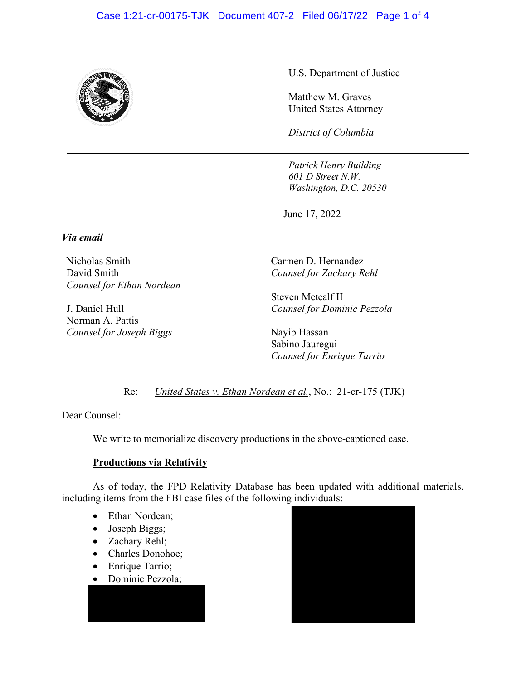## Case 1:21-cr-00175-TJK Document 407-2 Filed 06/17/22 Page 1 of 4



U.S. Department of Justice

Matthew M. Graves United States Attorney

*District of Columbia*

*Patrick Henry Building 601 D Street N.W. Washington, D.C. 20530* 

June 17, 2022

*Via email* 

Nicholas Smith David Smith *Counsel for Ethan Nordean* 

J. Daniel Hull Norman A. Pattis *Counsel for Joseph Biggs*  Carmen D. Hernandez *Counsel for Zachary Rehl* 

Steven Metcalf II *Counsel for Dominic Pezzola* 

Nayib Hassan Sabino Jauregui *Counsel for Enrique Tarrio* 

Re: *United States v. Ethan Nordean et al.*, No.: 21-cr-175 (TJK)

Dear Counsel:

We write to memorialize discovery productions in the above-captioned case.

## **Productions via Relativity**

As of today, the FPD Relativity Database has been updated with additional materials, including items from the FBI case files of the following individuals:

- Ethan Nordean;
- Joseph Biggs;
- Zachary Rehl;
- Charles Donohoe;
- Enrique Tarrio;
- Dominic Pezzola;

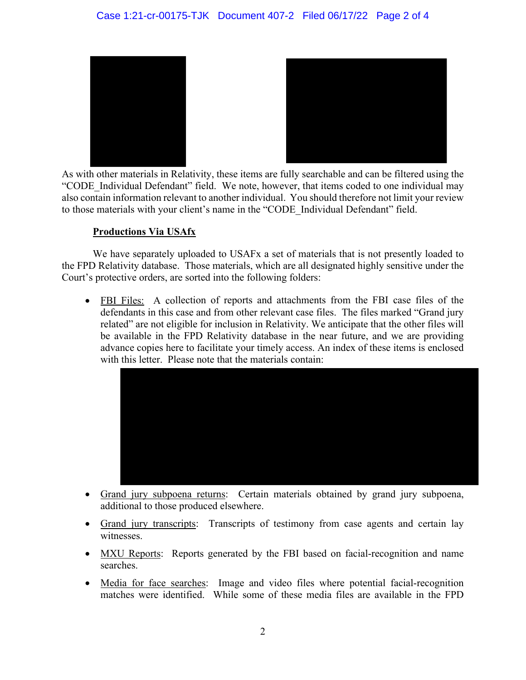

As with other materials in Relativity, these items are fully searchable and can be filtered using the "CODE Individual Defendant" field. We note, however, that items coded to one individual may also contain information relevant to another individual. You should therefore not limit your review to those materials with your client's name in the "CODE\_Individual Defendant" field.

## **Productions Via USAfx**

We have separately uploaded to USAFx a set of materials that is not presently loaded to the FPD Relativity database. Those materials, which are all designated highly sensitive under the Court's protective orders, are sorted into the following folders:

• FBI Files: A collection of reports and attachments from the FBI case files of the defendants in this case and from other relevant case files. The files marked "Grand jury related" are not eligible for inclusion in Relativity. We anticipate that the other files will be available in the FPD Relativity database in the near future, and we are providing advance copies here to facilitate your timely access. An index of these items is enclosed with this letter. Please note that the materials contain:



- Grand jury subpoena returns: Certain materials obtained by grand jury subpoena, additional to those produced elsewhere.
- Grand jury transcripts: Transcripts of testimony from case agents and certain lay witnesses.
- MXU Reports: Reports generated by the FBI based on facial-recognition and name searches.
- Media for face searches: Image and video files where potential facial-recognition matches were identified. While some of these media files are available in the FPD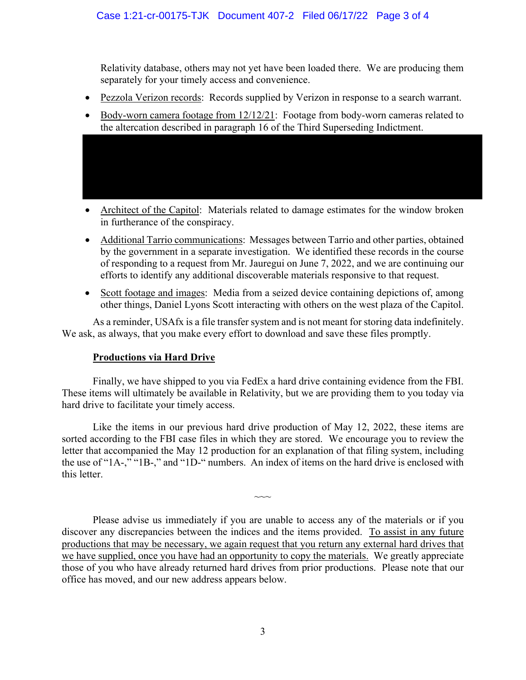Relativity database, others may not yet have been loaded there. We are producing them separately for your timely access and convenience.

- Pezzola Verizon records: Records supplied by Verizon in response to a search warrant.
- Body-worn camera footage from 12/12/21: Footage from body-worn cameras related to the altercation described in paragraph 16 of the Third Superseding Indictment.

- Architect of the Capitol: Materials related to damage estimates for the window broken in furtherance of the conspiracy.
- Additional Tarrio communications: Messages between Tarrio and other parties, obtained by the government in a separate investigation. We identified these records in the course of responding to a request from Mr. Jauregui on June 7, 2022, and we are continuing our efforts to identify any additional discoverable materials responsive to that request.
- Scott footage and images: Media from a seized device containing depictions of, among other things, Daniel Lyons Scott interacting with others on the west plaza of the Capitol.

As a reminder, USAfx is a file transfer system and is not meant for storing data indefinitely. We ask, as always, that you make every effort to download and save these files promptly.

## **Productions via Hard Drive**

Finally, we have shipped to you via FedEx a hard drive containing evidence from the FBI. These items will ultimately be available in Relativity, but we are providing them to you today via hard drive to facilitate your timely access.

Like the items in our previous hard drive production of May 12, 2022, these items are sorted according to the FBI case files in which they are stored. We encourage you to review the letter that accompanied the May 12 production for an explanation of that filing system, including the use of "1A-," "1B-," and "1D-" numbers. An index of items on the hard drive is enclosed with this letter.

 $\sim$ 

Please advise us immediately if you are unable to access any of the materials or if you discover any discrepancies between the indices and the items provided. To assist in any future productions that may be necessary, we again request that you return any external hard drives that we have supplied, once you have had an opportunity to copy the materials. We greatly appreciate those of you who have already returned hard drives from prior productions. Please note that our office has moved, and our new address appears below.